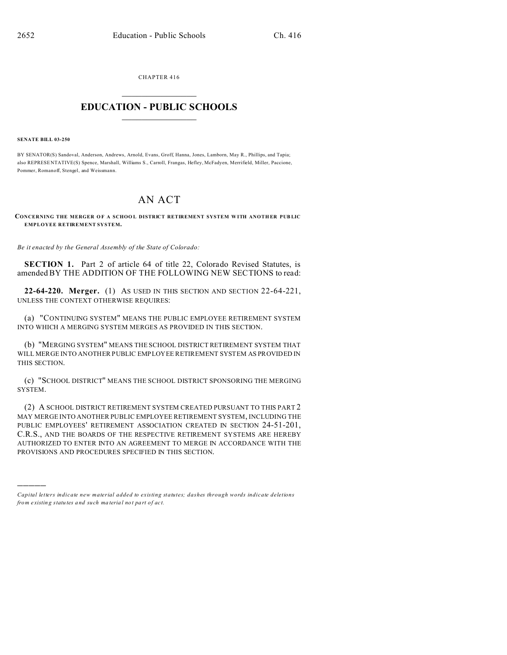CHAPTER 416  $\overline{\phantom{a}}$  , where  $\overline{\phantom{a}}$ 

## **EDUCATION - PUBLIC SCHOOLS**  $\_$   $\_$   $\_$   $\_$   $\_$   $\_$   $\_$   $\_$   $\_$

## **SENATE BILL 03-250**

)))))

BY SENATOR(S) Sandoval, Anderson, Andrews, Arnold, Evans, Groff, Hanna, Jones, Lamborn, May R., Phillips, and Tapia; also REPRESE NTATIVE(S) Spence, Marshall, Williams S., Carroll, Frangas, Hefley, McFadyen, Merrifield, Miller, Paccione, Pommer, Romanoff, Stengel, and Weissmann.

## AN ACT

**CONCERNING THE MERGER O F A SCHOO L DISTRICT RETIREMENT SYSTEM W ITH ANOTH ER PUB LIC EMPLOYEE RETIREMENT SYSTEM.**

*Be it enacted by the General Assembly of the State of Colorado:*

**SECTION 1.** Part 2 of article 64 of title 22, Colorado Revised Statutes, is amended BY THE ADDITION OF THE FOLLOWING NEW SECTIONS to read:

**22-64-220. Merger.** (1) AS USED IN THIS SECTION AND SECTION 22-64-221, UNLESS THE CONTEXT OTHERWISE REQUIRES:

(a) "CONTINUING SYSTEM" MEANS THE PUBLIC EMPLOYEE RETIREMENT SYSTEM INTO WHICH A MERGING SYSTEM MERGES AS PROVIDED IN THIS SECTION.

(b) "MERGING SYSTEM" MEANS THE SCHOOL DISTRICT RETIREMENT SYSTEM THAT WILL MERGE INTO ANOTHER PUBLIC EMPLOYEE RETIREMENT SYSTEM AS PROVIDED IN THIS SECTION.

(c) "SCHOOL DISTRICT" MEANS THE SCHOOL DISTRICT SPONSORING THE MERGING SYSTEM.

(2) A SCHOOL DISTRICT RETIREMENT SYSTEM CREATED PURSUANT TO THIS PART 2 MAY MERGE INTO ANOTHER PUBLIC EMPLOYEE RETIREMENT SYSTEM, INCLUDING THE PUBLIC EMPLOYEES' RETIREMENT ASSOCIATION CREATED IN SECTION 24-51-201, C.R.S., AND THE BOARDS OF THE RESPECTIVE RETIREMENT SYSTEMS ARE HEREBY AUTHORIZED TO ENTER INTO AN AGREEMENT TO MERGE IN ACCORDANCE WITH THE PROVISIONS AND PROCEDURES SPECIFIED IN THIS SECTION.

*Capital letters indicate new material added to existing statutes; dashes through words indicate deletions from e xistin g statu tes a nd such ma teria l no t pa rt of ac t.*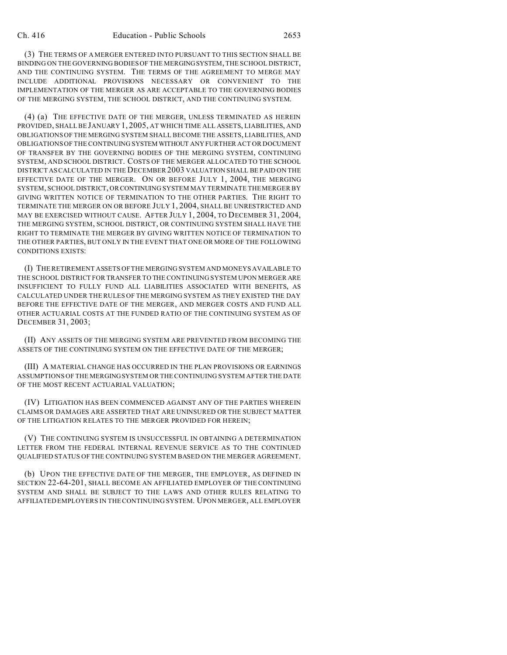(3) THE TERMS OF A MERGER ENTERED INTO PURSUANT TO THIS SECTION SHALL BE BINDING ON THE GOVERNING BODIES OF THE MERGINGSYSTEM, THE SCHOOL DISTRICT, AND THE CONTINUING SYSTEM. THE TERMS OF THE AGREEMENT TO MERGE MAY INCLUDE ADDITIONAL PROVISIONS NECESSARY OR CONVENIENT TO THE IMPLEMENTATION OF THE MERGER AS ARE ACCEPTABLE TO THE GOVERNING BODIES OF THE MERGING SYSTEM, THE SCHOOL DISTRICT, AND THE CONTINUING SYSTEM.

(4) (a) THE EFFECTIVE DATE OF THE MERGER, UNLESS TERMINATED AS HEREIN PROVIDED, SHALL BE JANUARY 1, 2005, AT WHICH TIME ALL ASSETS, LIABILITIES, AND OBLIGATIONS OF THE MERGING SYSTEM SHALL BECOME THE ASSETS, LIABILITIES, AND OBLIGATIONS OF THE CONTINUING SYSTEM WITHOUT ANY FURTHER ACT OR DOCUMENT OF TRANSFER BY THE GOVERNING BODIES OF THE MERGING SYSTEM, CONTINUING SYSTEM, AND SCHOOL DISTRICT. COSTS OF THE MERGER ALLOCATED TO THE SCHOOL DISTRICT AS CALCULATED IN THE DECEMBER 2003 VALUATION SHALL BE PAID ON THE EFFECTIVE DATE OF THE MERGER. ON OR BEFORE JULY 1, 2004, THE MERGING SYSTEM, SCHOOL DISTRICT, ORCONTINUING SYSTEM MAY TERMINATE THE MERGER BY GIVING WRITTEN NOTICE OF TERMINATION TO THE OTHER PARTIES. THE RIGHT TO TERMINATE THE MERGER ON OR BEFORE JULY 1, 2004, SHALL BE UNRESTRICTED AND MAY BE EXERCISED WITHOUT CAUSE. AFTER JULY 1, 2004, TO DECEMBER 31, 2004, THE MERGING SYSTEM, SCHOOL DISTRICT, OR CONTINUING SYSTEM SHALL HAVE THE RIGHT TO TERMINATE THE MERGER BY GIVING WRITTEN NOTICE OF TERMINATION TO THE OTHER PARTIES, BUT ONLY IN THE EVENT THAT ONE OR MORE OF THE FOLLOWING CONDITIONS EXISTS:

(I) THE RETIREMENT ASSETS OF THE MERGING SYSTEM AND MONEYS AVAILABLE TO THE SCHOOL DISTRICT FOR TRANSFER TO THE CONTINUING SYSTEM UPON MERGER ARE INSUFFICIENT TO FULLY FUND ALL LIABILITIES ASSOCIATED WITH BENEFITS, AS CALCULATED UNDER THE RULES OF THE MERGING SYSTEM AS THEY EXISTED THE DAY BEFORE THE EFFECTIVE DATE OF THE MERGER, AND MERGER COSTS AND FUND ALL OTHER ACTUARIAL COSTS AT THE FUNDED RATIO OF THE CONTINUING SYSTEM AS OF DECEMBER 31, 2003;

(II) ANY ASSETS OF THE MERGING SYSTEM ARE PREVENTED FROM BECOMING THE ASSETS OF THE CONTINUING SYSTEM ON THE EFFECTIVE DATE OF THE MERGER;

(III) A MATERIAL CHANGE HAS OCCURRED IN THE PLAN PROVISIONS OR EARNINGS ASSUMPTIONS OF THE MERGINGSYSTEM OR THE CONTINUING SYSTEM AFTER THE DATE OF THE MOST RECENT ACTUARIAL VALUATION;

(IV) LITIGATION HAS BEEN COMMENCED AGAINST ANY OF THE PARTIES WHEREIN CLAIMS OR DAMAGES ARE ASSERTED THAT ARE UNINSURED OR THE SUBJECT MATTER OF THE LITIGATION RELATES TO THE MERGER PROVIDED FOR HEREIN;

(V) THE CONTINUING SYSTEM IS UNSUCCESSFUL IN OBTAINING A DETERMINATION LETTER FROM THE FEDERAL INTERNAL REVENUE SERVICE AS TO THE CONTINUED QUALIFIED STATUS OF THE CONTINUING SYSTEM BASED ON THE MERGER AGREEMENT.

(b) UPON THE EFFECTIVE DATE OF THE MERGER, THE EMPLOYER, AS DEFINED IN SECTION 22-64-201, SHALL BECOME AN AFFILIATED EMPLOYER OF THE CONTINUING SYSTEM AND SHALL BE SUBJECT TO THE LAWS AND OTHER RULES RELATING TO AFFILIATED EMPLOYERS IN THE CONTINUING SYSTEM. UPON MERGER, ALL EMPLOYER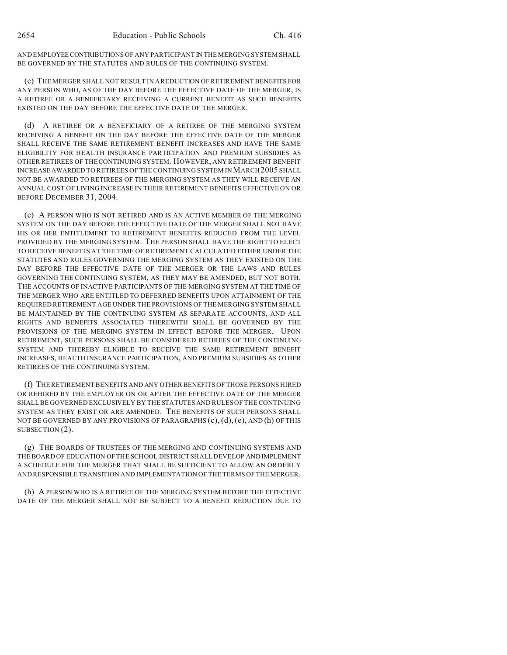AND EMPLOYEECONTRIBUTIONS OF ANY PARTICIPANT IN THE MERGING SYSTEM SHALL BE GOVERNED BY THE STATUTES AND RULES OF THE CONTINUING SYSTEM.

(c) THE MERGER SHALL NOT RESULT IN A REDUCTION OF RETIREMENT BENEFITS FOR ANY PERSON WHO, AS OF THE DAY BEFORE THE EFFECTIVE DATE OF THE MERGER, IS A RETIREE OR A BENEFICIARY RECEIVING A CURRENT BENEFIT AS SUCH BENEFITS EXISTED ON THE DAY BEFORE THE EFFECTIVE DATE OF THE MERGER.

(d) A RETIREE OR A BENEFICIARY OF A RETIREE OF THE MERGING SYSTEM RECEIVING A BENEFIT ON THE DAY BEFORE THE EFFECTIVE DATE OF THE MERGER SHALL RECEIVE THE SAME RETIREMENT BENEFIT INCREASES AND HAVE THE SAME ELIGIBILITY FOR HEALTH INSURANCE PARTICIPATION AND PREMIUM SUBSIDIES AS OTHER RETIREES OF THE CONTINUING SYSTEM. HOWEVER, ANY RETIREMENT BENEFIT INCREASEAWARDED TO RETIREES OF THE CONTINUING SYSTEM IN MARCH 2005 SHALL NOT BE AWARDED TO RETIREES OF THE MERGING SYSTEM AS THEY WILL RECEIVE AN ANNUAL COST OF LIVING INCREASE IN THEIR RETIREMENT BENEFITS EFFECTIVE ON OR BEFORE DECEMBER 31, 2004.

(e) A PERSON WHO IS NOT RETIRED AND IS AN ACTIVE MEMBER OF THE MERGING SYSTEM ON THE DAY BEFORE THE EFFECTIVE DATE OF THE MERGER SHALL NOT HAVE HIS OR HER ENTITLEMENT TO RETIREMENT BENEFITS REDUCED FROM THE LEVEL PROVIDED BY THE MERGING SYSTEM. THE PERSON SHALL HAVE THE RIGHT TO ELECT TO RECEIVE BENEFITS AT THE TIME OF RETIREMENT CALCULATED EITHER UNDER THE STATUTES AND RULES GOVERNING THE MERGING SYSTEM AS THEY EXISTED ON THE DAY BEFORE THE EFFECTIVE DATE OF THE MERGER OR THE LAWS AND RULES GOVERNING THE CONTINUING SYSTEM, AS THEY MAY BE AMENDED, BUT NOT BOTH. THE ACCOUNTS OF INACTIVE PARTICIPANTS OF THE MERGING SYSTEM AT THE TIME OF THE MERGER WHO ARE ENTITLED TO DEFERRED BENEFITS UPON ATTAINMENT OF THE REQUIRED RETIREMENT AGE UNDER THE PROVISIONS OF THE MERGING SYSTEM SHALL BE MAINTAINED BY THE CONTINUING SYSTEM AS SEPARATE ACCOUNTS, AND ALL RIGHTS AND BENEFITS ASSOCIATED THEREWITH SHALL BE GOVERNED BY THE PROVISIONS OF THE MERGING SYSTEM IN EFFECT BEFORE THE MERGER. UPON RETIREMENT, SUCH PERSONS SHALL BE CONSIDERED RETIREES OF THE CONTINUING SYSTEM AND THEREBY ELIGIBLE TO RECEIVE THE SAME RETIREMENT BENEFIT INCREASES, HEALTH INSURANCE PARTICIPATION, AND PREMIUM SUBSIDIES AS OTHER RETIREES OF THE CONTINUING SYSTEM.

(f) THE RETIREMENT BENEFITS AND ANY OTHER BENEFITS OF THOSE PERSONS HIRED OR REHIRED BY THE EMPLOYER ON OR AFTER THE EFFECTIVE DATE OF THE MERGER SHALL BE GOVERNED EXCLUSIVELY BY THE STATUTES AND RULES OF THE CONTINUING SYSTEM AS THEY EXIST OR ARE AMENDED. THE BENEFITS OF SUCH PERSONS SHALL NOT BE GOVERNED BY ANY PROVISIONS OF PARAGRAPHS  $(c)$ ,  $(d)$ ,  $(e)$ , AND  $(h)$  OF THIS SUBSECTION (2).

(g) THE BOARDS OF TRUSTEES OF THE MERGING AND CONTINUING SYSTEMS AND THE BOARD OF EDUCATION OF THE SCHOOL DISTRICT SHALL DEVELOP AND IMPLEMENT A SCHEDULE FOR THE MERGER THAT SHALL BE SUFFICIENT TO ALLOW AN ORDERLY AND RESPONSIBLE TRANSITION AND IMPLEMENTATION OF THE TERMS OF THE MERGER.

(h) A PERSON WHO IS A RETIREE OF THE MERGING SYSTEM BEFORE THE EFFECTIVE DATE OF THE MERGER SHALL NOT BE SUBJECT TO A BENEFIT REDUCTION DUE TO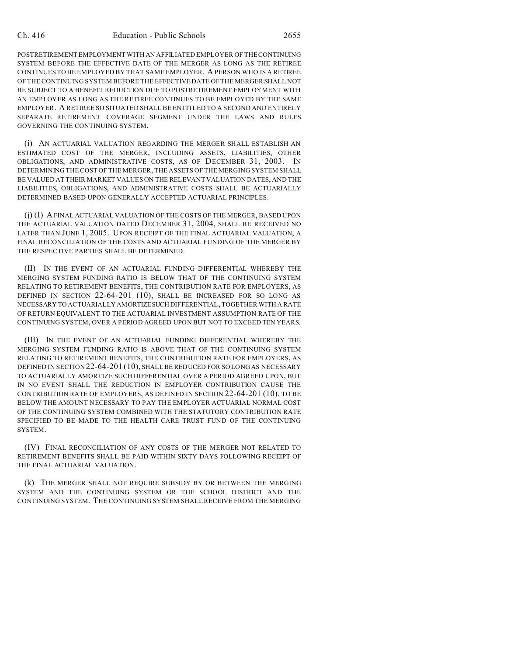POSTRETIREMENT EMPLOYMENT WITH AN AFFILIATED EMPLOYER OF THE CONTINUING SYSTEM BEFORE THE EFFECTIVE DATE OF THE MERGER AS LONG AS THE RETIREE CONTINUES TO BE EMPLOYED BY THAT SAME EMPLOYER. A PERSON WHO IS A RETIREE OF THE CONTINUING SYSTEM BEFORE THE EFFECTIVE DATE OF THE MERGER SHALL NOT BE SUBJECT TO A BENEFIT REDUCTION DUE TO POSTRETIREMENT EMPLOYMENT WITH AN EMPLOYER AS LONG AS THE RETIREE CONTINUES TO BE EMPLOYED BY THE SAME EMPLOYER. A RETIREE SO SITUATED SHALL BE ENTITLED TO A SECOND AND ENTIRELY SEPARATE RETIREMENT COVERAGE SEGMENT UNDER THE LAWS AND RULES GOVERNING THE CONTINUING SYSTEM.

(i) AN ACTUARIAL VALUATION REGARDING THE MERGER SHALL ESTABLISH AN ESTIMATED COST OF THE MERGER, INCLUDING ASSETS, LIABILITIES, OTHER OBLIGATIONS, AND ADMINISTRATIVE COSTS, AS OF DECEMBER 31, 2003. IN DETERMINING THE COST OF THE MERGER, THE ASSETS OF THE MERGING SYSTEM SHALL BE VALUED AT THEIR MARKET VALUES ON THE RELEVANT VALUATION DATES, AND THE LIABILITIES, OBLIGATIONS, AND ADMINISTRATIVE COSTS SHALL BE ACTUARIALLY DETERMINED BASED UPON GENERALLY ACCEPTED ACTUARIAL PRINCIPLES.

(j) (I) A FINAL ACTUARIAL VALUATION OF THE COSTS OF THE MERGER, BASED UPON THE ACTUARIAL VALUATION DATED DECEMBER 31, 2004, SHALL BE RECEIVED NO LATER THAN JUNE 1, 2005. UPON RECEIPT OF THE FINAL ACTUARIAL VALUATION, A FINAL RECONCILIATION OF THE COSTS AND ACTUARIAL FUNDING OF THE MERGER BY THE RESPECTIVE PARTIES SHALL BE DETERMINED.

(II) IN THE EVENT OF AN ACTUARIAL FUNDING DIFFERENTIAL WHEREBY THE MERGING SYSTEM FUNDING RATIO IS BELOW THAT OF THE CONTINUING SYSTEM RELATING TO RETIREMENT BENEFITS, THE CONTRIBUTION RATE FOR EMPLOYERS, AS DEFINED IN SECTION 22-64-201 (10), SHALL BE INCREASED FOR SO LONG AS NECESSARY TO ACTUARIALLY AMORTIZESUCH DIFFERENTIAL, TOGETHER WITH A RATE OF RETURN EQUIVALENT TO THE ACTUARIAL INVESTMENT ASSUMPTION RATE OF THE CONTINUING SYSTEM, OVER A PERIOD AGREED UPON BUT NOT TO EXCEED TEN YEARS.

(III) IN THE EVENT OF AN ACTUARIAL FUNDING DIFFERENTIAL WHEREBY THE MERGING SYSTEM FUNDING RATIO IS ABOVE THAT OF THE CONTINUING SYSTEM RELATING TO RETIREMENT BENEFITS, THE CONTRIBUTION RATE FOR EMPLOYERS, AS DEFINED IN SECTION 22-64-201 (10), SHALL BE REDUCED FOR SO LONG AS NECESSARY TO ACTUARIALLY AMORTIZE SUCH DIFFERENTIAL OVER A PERIOD AGREED UPON, BUT IN NO EVENT SHALL THE REDUCTION IN EMPLOYER CONTRIBUTION CAUSE THE CONTRIBUTION RATE OF EMPLOYERS, AS DEFINED IN SECTION 22-64-201 (10), TO BE BELOW THE AMOUNT NECESSARY TO PAY THE EMPLOYER ACTUARIAL NORMAL COST OF THE CONTINUING SYSTEM COMBINED WITH THE STATUTORY CONTRIBUTION RATE SPECIFIED TO BE MADE TO THE HEALTH CARE TRUST FUND OF THE CONTINUING SYSTEM.

(IV) FINAL RECONCILIATION OF ANY COSTS OF THE MERGER NOT RELATED TO RETIREMENT BENEFITS SHALL BE PAID WITHIN SIXTY DAYS FOLLOWING RECEIPT OF THE FINAL ACTUARIAL VALUATION.

(k) THE MERGER SHALL NOT REQUIRE SUBSIDY BY OR BETWEEN THE MERGING SYSTEM AND THE CONTINUING SYSTEM OR THE SCHOOL DISTRICT AND THE CONTINUING SYSTEM. THE CONTINUING SYSTEM SHALL RECEIVE FROM THE MERGING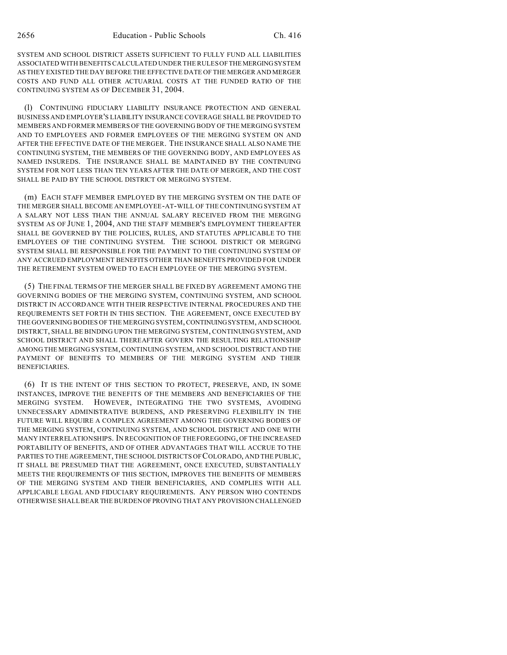SYSTEM AND SCHOOL DISTRICT ASSETS SUFFICIENT TO FULLY FUND ALL LIABILITIES ASSOCIATED WITH BENEFITS CALCULATED UNDER THE RULES OFTHEMERGINGSYSTEM AS THEY EXISTED THE DAY BEFORE THE EFFECTIVE DATE OF THE MERGER AND MERGER COSTS AND FUND ALL OTHER ACTUARIAL COSTS AT THE FUNDED RATIO OF THE CONTINUING SYSTEM AS OF DECEMBER 31, 2004.

(l) CONTINUING FIDUCIARY LIABILITY INSURANCE PROTECTION AND GENERAL BUSINESS AND EMPLOYER'S LIABILITY INSURANCE COVERAGE SHALL BE PROVIDED TO MEMBERS AND FORMER MEMBERS OF THE GOVERNING BODY OF THE MERGING SYSTEM AND TO EMPLOYEES AND FORMER EMPLOYEES OF THE MERGING SYSTEM ON AND AFTER THE EFFECTIVE DATE OF THE MERGER. THE INSURANCE SHALL ALSO NAME THE CONTINUING SYSTEM, THE MEMBERS OF THE GOVERNING BODY, AND EMPLOYEES AS NAMED INSUREDS. THE INSURANCE SHALL BE MAINTAINED BY THE CONTINUING SYSTEM FOR NOT LESS THAN TEN YEARS AFTER THE DATE OF MERGER, AND THE COST SHALL BE PAID BY THE SCHOOL DISTRICT OR MERGING SYSTEM.

(m) EACH STAFF MEMBER EMPLOYED BY THE MERGING SYSTEM ON THE DATE OF THE MERGER SHALL BECOME AN EMPLOYEE-AT-WILL OF THE CONTINUING SYSTEM AT A SALARY NOT LESS THAN THE ANNUAL SALARY RECEIVED FROM THE MERGING SYSTEM AS OF JUNE 1, 2004, AND THE STAFF MEMBER'S EMPLOYMENT THEREAFTER SHALL BE GOVERNED BY THE POLICIES, RULES, AND STATUTES APPLICABLE TO THE EMPLOYEES OF THE CONTINUING SYSTEM. THE SCHOOL DISTRICT OR MERGING SYSTEM SHALL BE RESPONSIBLE FOR THE PAYMENT TO THE CONTINUING SYSTEM OF ANY ACCRUED EMPLOYMENT BENEFITS OTHER THAN BENEFITS PROVIDED FOR UNDER THE RETIREMENT SYSTEM OWED TO EACH EMPLOYEE OF THE MERGING SYSTEM.

(5) THE FINAL TERMS OF THE MERGER SHALL BE FIXED BY AGREEMENT AMONG THE GOVERNING BODIES OF THE MERGING SYSTEM, CONTINUING SYSTEM, AND SCHOOL DISTRICT IN ACCORDANCE WITH THEIR RESPECTIVE INTERNAL PROCEDURES AND THE REQUIREMENTS SET FORTH IN THIS SECTION. THE AGREEMENT, ONCE EXECUTED BY THE GOVERNING BODIES OF THE MERGING SYSTEM, CONTINUINGSYSTEM, AND SCHOOL DISTRICT, SHALL BE BINDING UPON THE MERGING SYSTEM, CONTINUING SYSTEM, AND SCHOOL DISTRICT AND SHALL THEREAFTER GOVERN THE RESULTING RELATIONSHIP AMONG THE MERGING SYSTEM, CONTINUING SYSTEM, AND SCHOOL DISTRICT AND THE PAYMENT OF BENEFITS TO MEMBERS OF THE MERGING SYSTEM AND THEIR BENEFICIARIES.

(6) IT IS THE INTENT OF THIS SECTION TO PROTECT, PRESERVE, AND, IN SOME INSTANCES, IMPROVE THE BENEFITS OF THE MEMBERS AND BENEFICIARIES OF THE MERGING SYSTEM. HOWEVER, INTEGRATING THE TWO SYSTEMS, AVOIDING UNNECESSARY ADMINISTRATIVE BURDENS, AND PRESERVING FLEXIBILITY IN THE FUTURE WILL REQUIRE A COMPLEX AGREEMENT AMONG THE GOVERNING BODIES OF THE MERGING SYSTEM, CONTINUING SYSTEM, AND SCHOOL DISTRICT AND ONE WITH MANY INTERRELATIONSHIPS. IN RECOGNITION OF THE FOREGOING, OF THE INCREASED PORTABILITY OF BENEFITS, AND OF OTHER ADVANTAGES THAT WILL ACCRUE TO THE PARTIES TO THE AGREEMENT, THE SCHOOL DISTRICTS OF COLORADO, AND THE PUBLIC, IT SHALL BE PRESUMED THAT THE AGREEMENT, ONCE EXECUTED, SUBSTANTIALLY MEETS THE REQUIREMENTS OF THIS SECTION, IMPROVES THE BENEFITS OF MEMBERS OF THE MERGING SYSTEM AND THEIR BENEFICIARIES, AND COMPLIES WITH ALL APPLICABLE LEGAL AND FIDUCIARY REQUIREMENTS. ANY PERSON WHO CONTENDS OTHERWISE SHALL BEAR THE BURDEN OFPROVING THAT ANY PROVISION CHALLENGED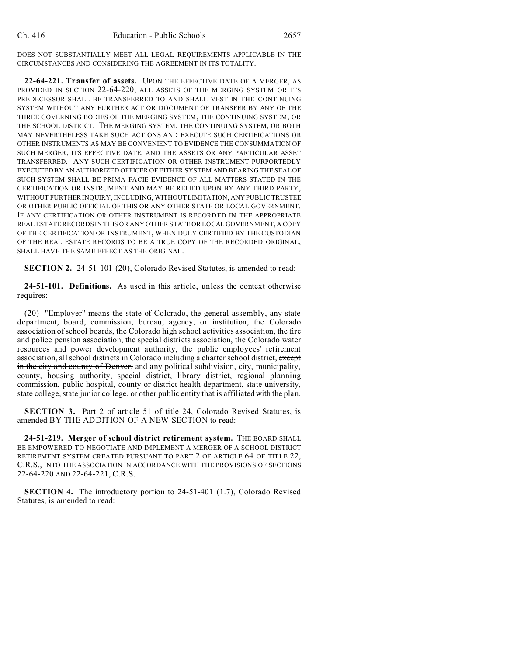DOES NOT SUBSTANTIALLY MEET ALL LEGAL REQUIREMENTS APPLICABLE IN THE CIRCUMSTANCES AND CONSIDERING THE AGREEMENT IN ITS TOTALITY.

**22-64-221. Transfer of assets.** UPON THE EFFECTIVE DATE OF A MERGER, AS PROVIDED IN SECTION 22-64-220, ALL ASSETS OF THE MERGING SYSTEM OR ITS PREDECESSOR SHALL BE TRANSFERRED TO AND SHALL VEST IN THE CONTINUING SYSTEM WITHOUT ANY FURTHER ACT OR DOCUMENT OF TRANSFER BY ANY OF THE THREE GOVERNING BODIES OF THE MERGING SYSTEM, THE CONTINUING SYSTEM, OR THE SCHOOL DISTRICT. THE MERGING SYSTEM, THE CONTINUING SYSTEM, OR BOTH MAY NEVERTHELESS TAKE SUCH ACTIONS AND EXECUTE SUCH CERTIFICATIONS OR OTHER INSTRUMENTS AS MAY BE CONVENIENT TO EVIDENCE THE CONSUMMATION OF SUCH MERGER, ITS EFFECTIVE DATE, AND THE ASSETS OR ANY PARTICULAR ASSET TRANSFERRED. ANY SUCH CERTIFICATION OR OTHER INSTRUMENT PURPORTEDLY EXECUTED BY AN AUTHORIZED OFFICER OF EITHER SYSTEM AND BEARING THE SEAL OF SUCH SYSTEM SHALL BE PRIMA FACIE EVIDENCE OF ALL MATTERS STATED IN THE CERTIFICATION OR INSTRUMENT AND MAY BE RELIED UPON BY ANY THIRD PARTY, WITHOUT FURTHER INQUIRY, INCLUDING, WITHOUT LIMITATION, ANY PUBLIC TRUSTEE OR OTHER PUBLIC OFFICIAL OF THIS OR ANY OTHER STATE OR LOCAL GOVERNMENT. IF ANY CERTIFICATION OR OTHER INSTRUMENT IS RECORDED IN THE APPROPRIATE REAL ESTATE RECORDS IN THIS OR ANY OTHER STATE OR LOCAL GOVERNMENT, A COPY OF THE CERTIFICATION OR INSTRUMENT, WHEN DULY CERTIFIED BY THE CUSTODIAN OF THE REAL ESTATE RECORDS TO BE A TRUE COPY OF THE RECORDED ORIGINAL, SHALL HAVE THE SAME EFFECT AS THE ORIGINAL.

**SECTION 2.** 24-51-101 (20), Colorado Revised Statutes, is amended to read:

**24-51-101. Definitions.** As used in this article, unless the context otherwise requires:

(20) "Employer" means the state of Colorado, the general assembly, any state department, board, commission, bureau, agency, or institution, the Colorado association of school boards, the Colorado high school activities association, the fire and police pension association, the special districts association, the Colorado water resources and power development authority, the public employees' retirement association, all school districts in Colorado including a charter school district, except in the city and county of Denver, and any political subdivision, city, municipality, county, housing authority, special district, library district, regional planning commission, public hospital, county or district health department, state university, state college, state junior college, or other public entity that is affiliated with the plan.

**SECTION 3.** Part 2 of article 51 of title 24, Colorado Revised Statutes, is amended BY THE ADDITION OF A NEW SECTION to read:

**24-51-219. Merger of school district retirement system.** THE BOARD SHALL BE EMPOWERED TO NEGOTIATE AND IMPLEMENT A MERGER OF A SCHOOL DISTRICT RETIREMENT SYSTEM CREATED PURSUANT TO PART 2 OF ARTICLE 64 OF TITLE 22, C.R.S., INTO THE ASSOCIATION IN ACCORDANCE WITH THE PROVISIONS OF SECTIONS 22-64-220 AND 22-64-221, C.R.S.

**SECTION 4.** The introductory portion to 24-51-401 (1.7), Colorado Revised Statutes, is amended to read: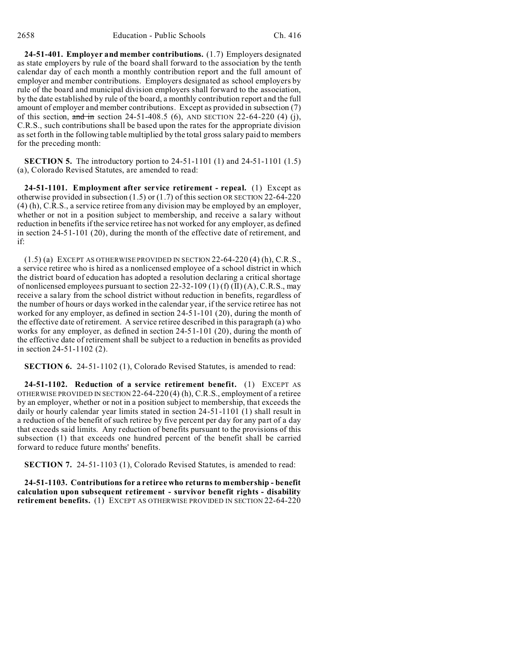**24-51-401. Employer and member contributions.** (1.7) Employers designated as state employers by rule of the board shall forward to the association by the tenth calendar day of each month a monthly contribution report and the full amount of employer and member contributions. Employers designated as school employers by rule of the board and municipal division employers shall forward to the association, by the date established by rule of the board, a monthly contribution report and the full amount of employer and member contributions. Except as provided in subsection (7) of this section,  $\frac{1}{4}$  in section 24-51-408.5 (6), AND SECTION 22-64-220 (4) (j), C.R.S., such contributions shall be based upon the rates for the appropriate division as set forth in the following table multiplied by the total gross salary paid to members for the preceding month:

**SECTION 5.** The introductory portion to 24-51-1101 (1) and 24-51-1101 (1.5) (a), Colorado Revised Statutes, are amended to read:

**24-51-1101. Employment after service retirement - repeal.** (1) Except as otherwise provided in subsection (1.5) or (1.7) of this section OR SECTION 22-64-220 (4) (h), C.R.S., a service retiree from any division may be employed by an employer, whether or not in a position subject to membership, and receive a salary without reduction in benefits if the service retiree has not worked for any employer, as defined in section 24-51-101 (20), during the month of the effective date of retirement, and if:

 $(1.5)$  (a) EXCEPT AS OTHERWISE PROVIDED IN SECTION 22-64-220 (4) (h), C.R.S., a service retiree who is hired as a nonlicensed employee of a school district in which the district board of education has adopted a resolution declaring a critical shortage of nonlicensed employees pursuant to section 22-32-109 (1) (f) (II) (A), C.R.S., may receive a salary from the school district without reduction in benefits, regardless of the number of hours or days worked in the calendar year, if the service retiree has not worked for any employer, as defined in section 24-51-101 (20), during the month of the effective date of retirement. A service retiree described in this paragraph (a) who works for any employer, as defined in section 24-51-101 (20), during the month of the effective date of retirement shall be subject to a reduction in benefits as provided in section 24-51-1102 (2).

**SECTION 6.** 24-51-1102 (1), Colorado Revised Statutes, is amended to read:

**24-51-1102. Reduction of a service retirement benefit.** (1) EXCEPT AS OTHERWISE PROVIDED IN SECTION 22-64-220 (4) (h), C.R.S., employment of a retiree by an employer, whether or not in a position subject to membership, that exceeds the daily or hourly calendar year limits stated in section 24-51-1101 (1) shall result in a reduction of the benefit of such retiree by five percent per day for any part of a day that exceeds said limits. Any reduction of benefits pursuant to the provisions of this subsection (1) that exceeds one hundred percent of the benefit shall be carried forward to reduce future months' benefits.

**SECTION 7.** 24-51-1103 (1), Colorado Revised Statutes, is amended to read:

**24-51-1103. Contributions for a retiree who returns to membership - benefit calculation upon subsequent retirement - survivor benefit rights - disability retirement benefits.** (1) EXCEPT AS OTHERWISE PROVIDED IN SECTION 22-64-220